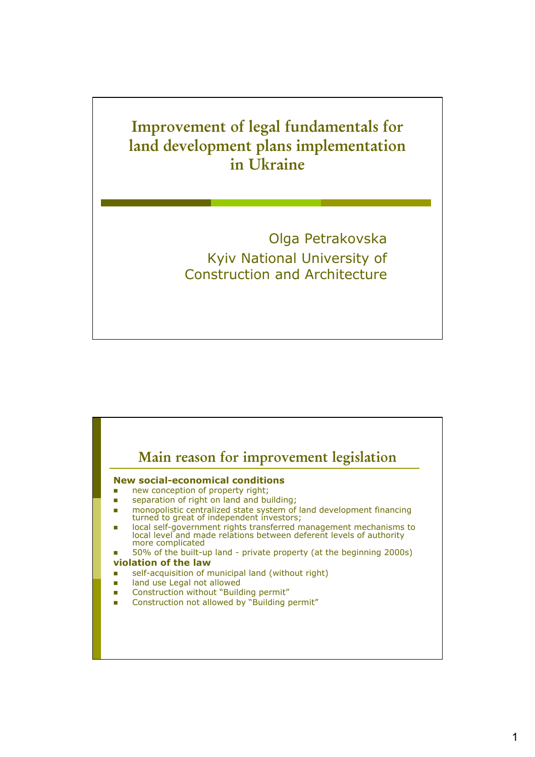## **Improvement of legal fundamentals for land development plans implementation in Ukraine**

Olga Petrakovska Kyiv National University of Construction and Architecture

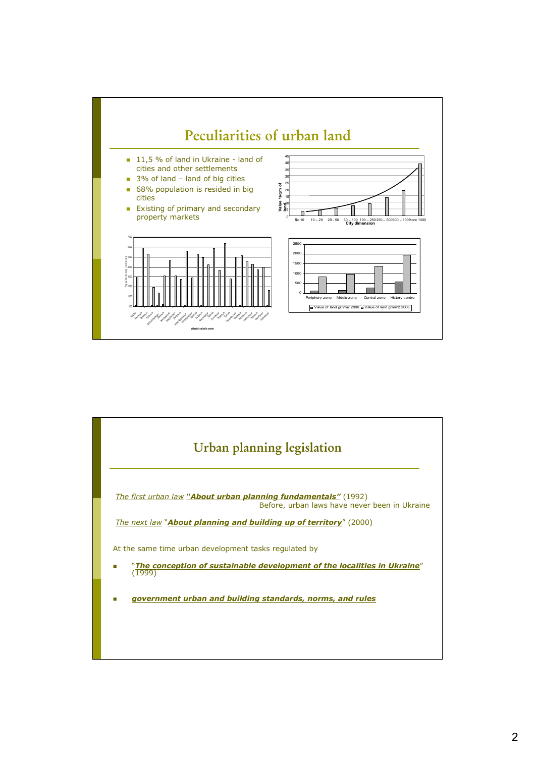

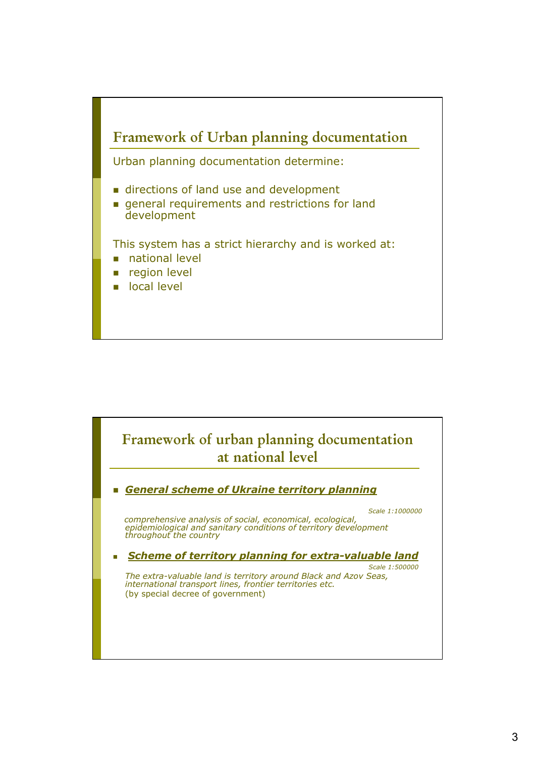

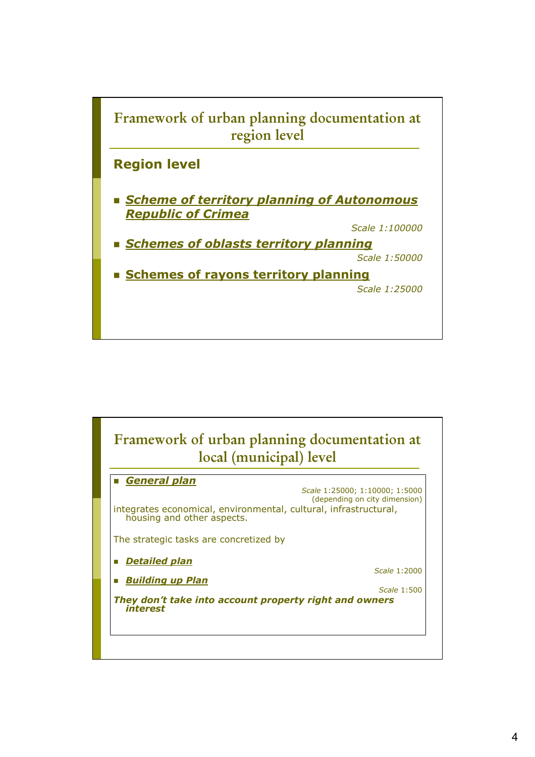

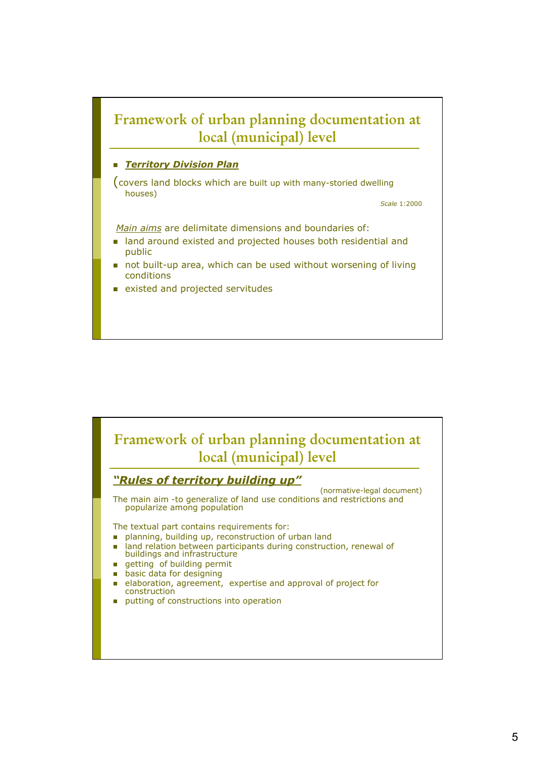## **Framework of urban planning documentation at local (municipal) level**

## *Territory Division Plan*

(covers land blocks which are built up with many-storied dwelling houses)

*Scale* 1:2000

*Main aims* are delimitate dimensions and boundaries of:

- land around existed and projected houses both residential and public
- not built-up area, which can be used without worsening of living conditions
- existed and projected servitudes

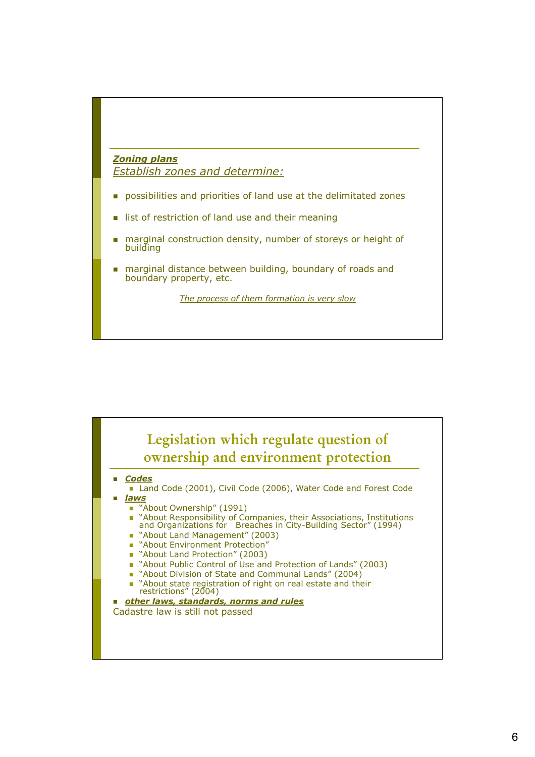## *Zoning plans Establish zones and determine:*

- **possibilities and priorities of land use at the delimitated zones**
- list of restriction of land use and their meaning
- marginal construction density, number of storeys or height of building
- marginal distance between building, boundary of roads and boundary property, etc.

*The process of them formation is very slow*

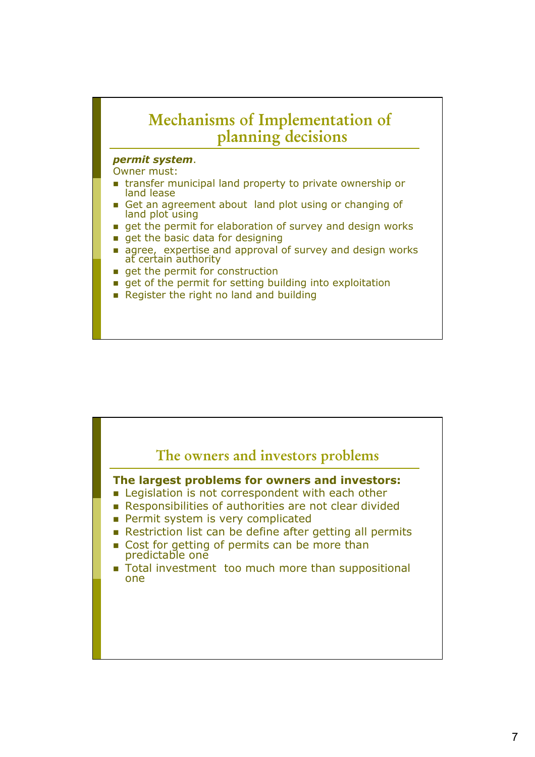

- **get of the permit for setting building into exploitation**
- Register the right no land and building